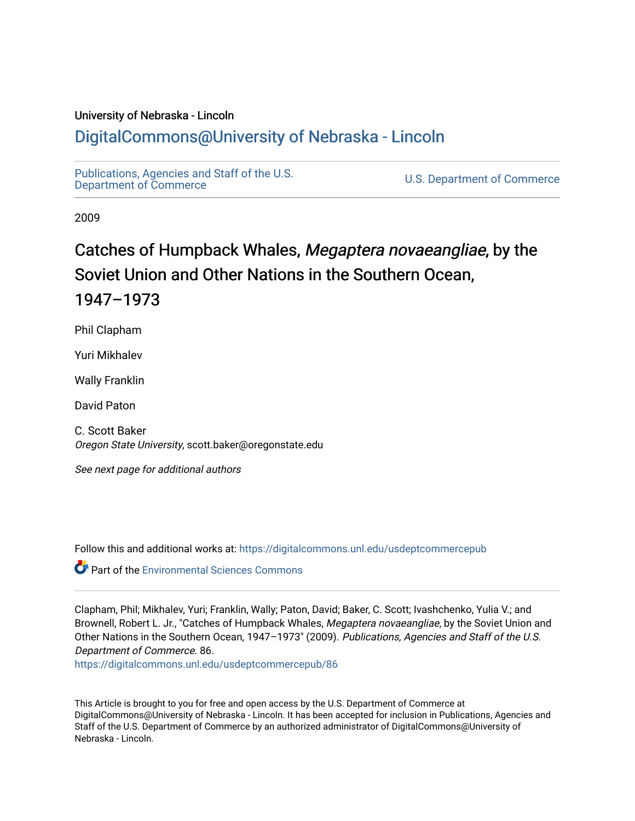## University of Nebraska - Lincoln [DigitalCommons@University of Nebraska - Lincoln](https://digitalcommons.unl.edu/)

[Publications, Agencies and Staff of the U.S.](https://digitalcommons.unl.edu/usdeptcommercepub)

U.S. [Department of Commerce](https://digitalcommons.unl.edu/usdeptcommercepub)

2009

# Catches of Humpback Whales, Megaptera novaeangliae, by the Soviet Union and Other Nations in the Southern Ocean, 1947–1973

Phil Clapham

Yuri Mikhalev

Wally Franklin

David Paton

C. Scott Baker Oregon State University, scott.baker@oregonstate.edu

See next page for additional authors

Follow this and additional works at: [https://digitalcommons.unl.edu/usdeptcommercepub](https://digitalcommons.unl.edu/usdeptcommercepub?utm_source=digitalcommons.unl.edu%2Fusdeptcommercepub%2F86&utm_medium=PDF&utm_campaign=PDFCoverPages)

**C**<sup> $\bullet$ </sup> Part of the [Environmental Sciences Commons](http://network.bepress.com/hgg/discipline/167?utm_source=digitalcommons.unl.edu%2Fusdeptcommercepub%2F86&utm_medium=PDF&utm_campaign=PDFCoverPages)

Clapham, Phil; Mikhalev, Yuri; Franklin, Wally; Paton, David; Baker, C. Scott; Ivashchenko, Yulia V.; and Brownell, Robert L. Jr., "Catches of Humpback Whales, Megaptera novaeangliae, by the Soviet Union and Other Nations in the Southern Ocean, 1947–1973" (2009). Publications, Agencies and Staff of the U.S. Department of Commerce. 86.

[https://digitalcommons.unl.edu/usdeptcommercepub/86](https://digitalcommons.unl.edu/usdeptcommercepub/86?utm_source=digitalcommons.unl.edu%2Fusdeptcommercepub%2F86&utm_medium=PDF&utm_campaign=PDFCoverPages) 

This Article is brought to you for free and open access by the U.S. Department of Commerce at DigitalCommons@University of Nebraska - Lincoln. It has been accepted for inclusion in Publications, Agencies and Staff of the U.S. Department of Commerce by an authorized administrator of DigitalCommons@University of Nebraska - Lincoln.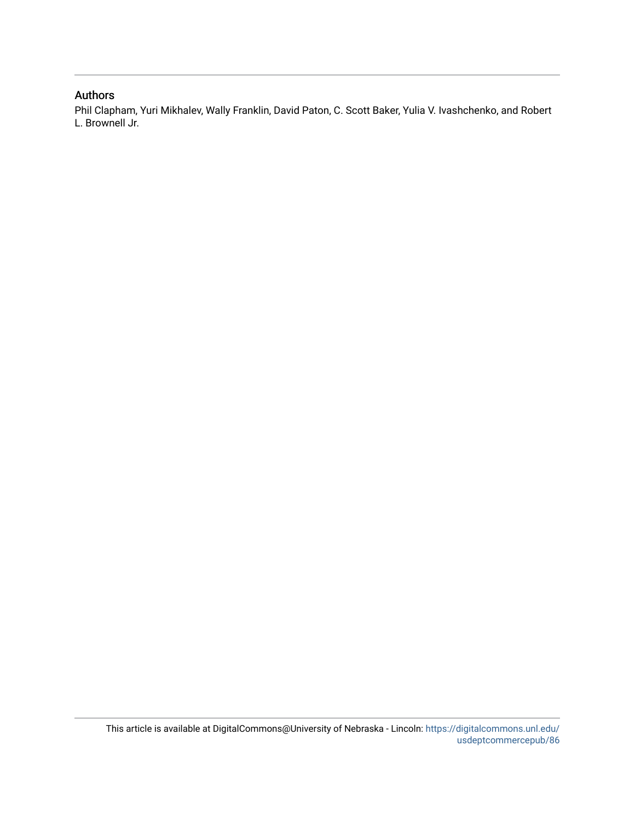### Authors

Phil Clapham, Yuri Mikhalev, Wally Franklin, David Paton, C. Scott Baker, Yulia V. Ivashchenko, and Robert L. Brownell Jr.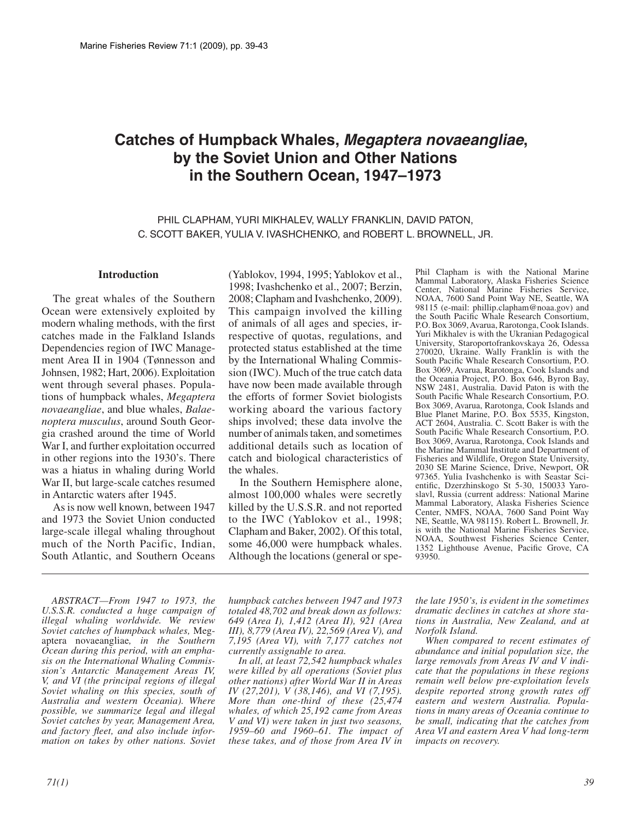## **Catches of Humpback Whales, Megaptera novaeangliae, by the Soviet Union and Other Nations in the Southern Ocean, 1947–1973**

PHIL CLAPHAM, YURI MIKHALEV, WALLY FRANKLIN, DAVID PATON, C. SCOTT BAKER, YULIA V. IVASHCHENKO, and ROBERT L. BROWNELL, JR.

#### **Introduction**

The great whales of the Southern Ocean were extensively exploited by modern whaling methods, with the first catches made in the Falkland Islands Dependencies region of IWC Management Area II in 1904 (Tønnesson and Johnsen, 1982; Hart, 2006). Exploitation went through several phases. Populations of humpback whales, *Megaptera novaeangliae*, and blue whales, *Balaenoptera musculus*, around South Georgia crashed around the time of World War I, and further exploitation occurred in other regions into the 1930's. There was a hiatus in whaling during World War II, but large-scale catches resumed in Antarctic waters after 1945.

As is now well known, between 1947 and 1973 the Soviet Union conducted large-scale illegal whaling throughout much of the North Pacific, Indian, South Atlantic, and Southern Oceans

(Yablokov, 1994, 1995; Yablokov et al., 1998; Ivashchenko et al., 2007; Berzin, 2008; Clapham and Ivashchenko, 2009). This campaign involved the killing of animals of all ages and species, irrespective of quotas, regulations, and protected status established at the time by the International Whaling Commission (IWC). Much of the true catch data have now been made available through the efforts of former Soviet biologists working aboard the various factory ships involved; these data involve the number of animals taken, and sometimes additional details such as location of catch and biological characteristics of the whales.

In the Southern Hemisphere alone, almost 100,000 whales were secretly killed by the U.S.S.R. and not reported to the IWC (Yablokov et al., 1998; Clapham and Baker, 2002). Of this total, some 46,000 were humpback whales. Although the locations (general or spe-

Phil Clapham is with the National Marine Mammal Laboratory, Alaska Fisheries Science Center, National Marine Fisheries Service, NOAA, 7600 Sand Point Way NE, Seattle, WA 98115 (e-mail: phillip.clapham@noaa.gov) and the South Pacific Whale Research Consortium, P.O. Box 3069, Avarua, Rarotonga, Cook Islands. Yuri Mikhalev is with the Ukranian Pedagogical University, Staroportofrankovskaya 26, Odessa 270020, Ukraine. Wally Franklin is with the South Pacific Whale Research Consortium, P.O. Box 3069, Avarua, Rarotonga, Cook Islands and the Oceania Project, P.O. Box 646, Byron Bay, NSW 2481, Australia. David Paton is with the South Pacific Whale Research Consortium, P.O. Box 3069, Avarua, Rarotonga, Cook Islands and Blue Planet Marine, P.O. Box 5535, Kingston, ACT 2604, Australia. C. Scott Baker is with the South Pacific Whale Research Consortium, P.O. Box 3069, Avarua, Rarotonga, Cook Islands and the Marine Mammal Institute and Department of Fisheries and Wildlife, Oregon State University, 2030 SE Marine Science, Drive, Newport, OR 97365. Yulia Ivashchenko is with Seastar Scientific, Dzerzhinskogo St 5-30, 150033 Yaroslavl, Russia (current address: National Marine Mammal Laboratory, Alaska Fisheries Science Center, NMFS, NOAA, 7600 Sand Point Way NE, Seattle, WA 98115). Robert L. Brownell, Jr. is with the National Marine Fisheries Service, NOAA, Southwest Fisheries Science Center, 1352 Lighthouse Avenue, Pacific Grove, CA 93950.

*ABSTRACT—From 1947 to 1973, the U.S.S.R. conducted a huge campaign of illegal whaling worldwide. We review Soviet catches of humpback whales,* Megaptera novaeangliae*, in the Southern Ocean during this period, with an emphasis on the International Whaling Commission's Antarctic Management Areas IV, V, and VI (the principal regions of illegal Soviet whaling on this species, south of Australia and western Oceania). Where possible, we summarize legal and illegal Soviet catches by year, Management Area, and factory fleet, and also include information on takes by other nations. Soviet* 

*humpback catches between 1947 and 1973 totaled 48,702 and break down as follows: 649 (Area I), 1,412 (Area II), 921 (Area III), 8,779 (Area IV), 22,569 (Area V), and 7,195 (Area VI), with 7,177 catches not currently assignable to area.*

*In all, at least 72,542 humpback whales were killed by all operations (Soviet plus other nations) after World War II in Areas IV (27,201), V (38,146), and VI (7,195). More than one-third of these (25,474 whales, of which 25,192 came from Areas V and VI) were taken in just two seasons, 1959–60 and 1960–61. The impact of these takes, and of those from Area IV in* 

*the late 1950's, is evident in the sometimes dramatic declines in catches at shore stations in Australia, New Zealand, and at Norfolk Island.*

*When compared to recent estimates of abundance and initial population size, the large removals from Areas IV and V indicate that the populations in these regions remain well below pre-exploitation levels despite reported strong growth rates off eastern and western Australia. Populations in many areas of Oceania continue to be small, indicating that the catches from Area VI and eastern Area V had long-term impacts on recovery.*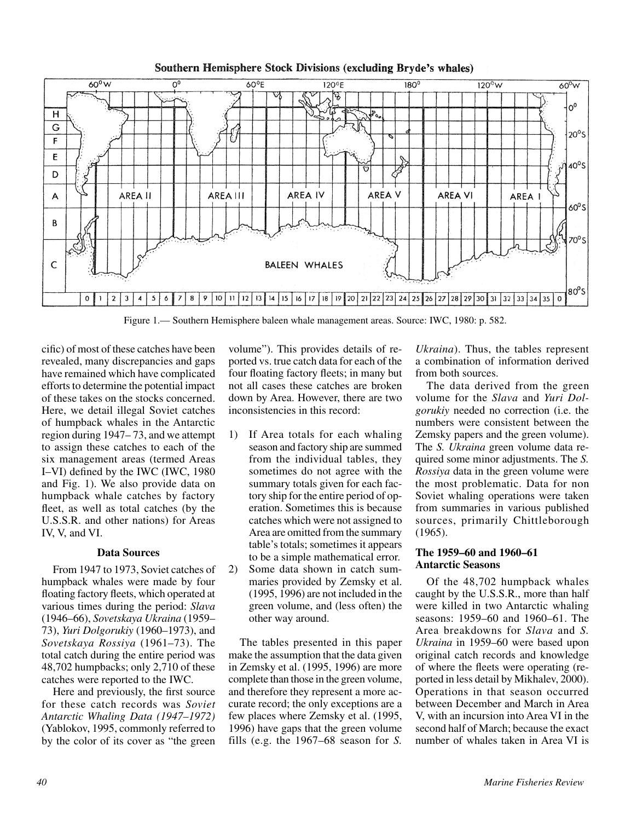

#### Southern Hemisphere Stock Divisions (excluding Bryde's whales)

Figure 1.— Southern Hemisphere baleen whale management areas. Source: IWC, 1980: p. 582.

cific) of most of these catches have been revealed, many discrepancies and gaps have remained which have complicated efforts to determine the potential impact of these takes on the stocks concerned. Here, we detail illegal Soviet catches of humpback whales in the Antarctic region during 1947– 73, and we attempt to assign these catches to each of the six management areas (termed Areas I–VI) defined by the IWC (IWC, 1980 and Fig. 1). We also provide data on humpback whale catches by factory fleet, as well as total catches (by the U.S.S.R. and other nations) for Areas IV, V, and VI.

#### **Data Sources**

From 1947 to 1973, Soviet catches of humpback whales were made by four floating factory fleets, which operated at various times during the period: *Slava* (1946–66), *Sovetskaya Ukraina* (1959– 73), *Yuri Dolgorukiy* (1960–1973), and *Sovetskaya Rossiya* (1961–73). The total catch during the entire period was 48,702 humpbacks; only 2,710 of these catches were reported to the IWC.

Here and previously, the first source for these catch records was *Soviet Antarctic Whaling Data (1947–1972)*  (Yablokov, 1995, commonly referred to by the color of its cover as "the green

volume"). This provides details of reported vs. true catch data for each of the four floating factory fleets; in many but not all cases these catches are broken down by Area. However, there are two inconsistencies in this record:

- 1) If Area totals for each whaling season and factory ship are summed from the individual tables, they sometimes do not agree with the summary totals given for each factory ship for the entire period of operation. Sometimes this is because catches which were not assigned to Area are omitted from the summary table's totals; sometimes it appears to be a simple mathematical error.
- 2) Some data shown in catch summaries provided by Zemsky et al. (1995, 1996) are not included in the green volume, and (less often) the other way around.

The tables presented in this paper make the assumption that the data given in Zemsky et al. (1995, 1996) are more complete than those in the green volume, and therefore they represent a more accurate record; the only exceptions are a few places where Zemsky et al. (1995, 1996) have gaps that the green volume fills (e.g. the 1967–68 season for *S.* 

*Ukraina*). Thus, the tables represent a combination of information derived from both sources.

The data derived from the green volume for the *Slava* and *Yuri Dolgorukiy* needed no correction (i.e. the numbers were consistent between the Zemsky papers and the green volume). The *S. Ukraina* green volume data required some minor adjustments. The *S. Rossiya* data in the green volume were the most problematic. Data for non Soviet whaling operations were taken from summaries in various published sources, primarily Chittleborough (1965).

#### **The 1959–60 and 1960–61 Antarctic Seasons**

Of the 48,702 humpback whales caught by the U.S.S.R., more than half were killed in two Antarctic whaling seasons: 1959–60 and 1960–61. The Area breakdowns for *Slava* and *S. Ukraina* in 1959–60 were based upon original catch records and knowledge of where the fleets were operating (reported in less detail by Mikhalev, 2000). Operations in that season occurred between December and March in Area V, with an incursion into Area VI in the second half of March; because the exact number of whales taken in Area VI is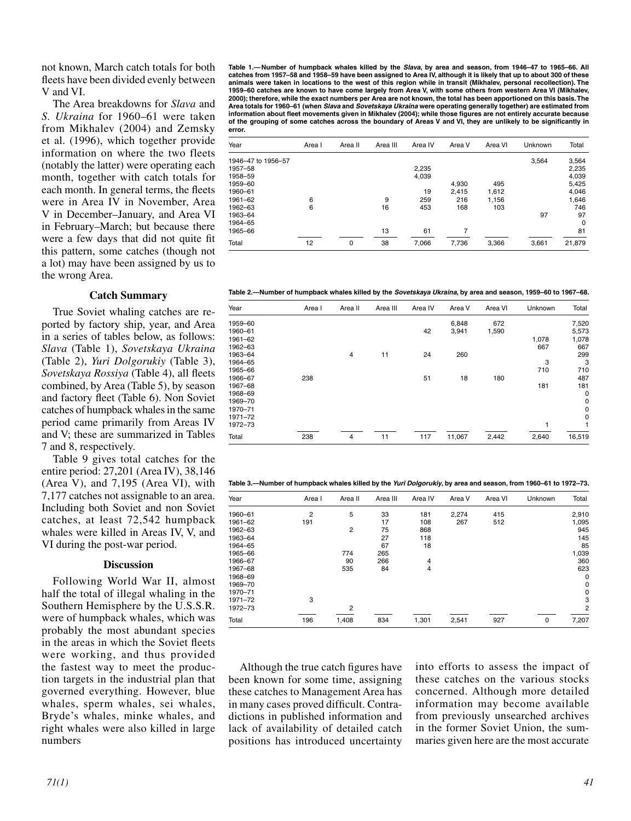not known, March catch totals for both fleets have been divided evenly between V and VI.

The Area breakdowns for *Slava* and *S. Ukraina* for 1960–61 were taken from Mikhalev (2004) and Zemsky et al. (1996), which together provide information on where the two fleets (notably the latter) were operating each month, together with catch totals for each month. In general terms, the fleets were in Area IV in November, Area V in December–January, and Area VI in February–March; but because there were a few days that did not quite fit this pattern, some catches (though not a lot) may have been assigned by us to the wrong Area.

#### **Catch Summary**

True Soviet whaling catches are reported by factory ship, year, and Area in a series of tables below, as follows: *Slava* (Table 1), *Sovetskaya Ukraina* (Table 2), *Yuri Dolgorukiy* (Table 3), *Sovetskaya Rossiya* (Table 4), all fleets combined, by Area (Table 5), by season and factory fleet (Table 6). Non Soviet catches of humpback whales in the same period came primarily from Areas IV and V; these are summarized in Tables 7 and 8, respectively.

Table 9 gives total catches for the entire period: 27,201 (Area IV), 38,146 (Area V), and 7,195 (Area VI), with 7,177 catches not assignable to an area. Including both Soviet and non Soviet catches, at least 72,542 humpback whales were killed in Areas IV, V, and VI during the post-war period.

#### **Discussion**

Following World War II, almost half the total of illegal whaling in the Southern Hemisphere by the U.S.S.R. were of humpback whales, which was probably the most abundant species in the areas in which the Soviet fleets were working, and thus provided the fastest way to meet the production targets in the industrial plan that governed everything. However, blue whales, sperm whales, sei whales, Bryde's whales, minke whales, and right whales were also killed in large numbers

**Table 1.— Number of humpback whales killed by the Slava, by area and season, from 1946–47 to 1965–66. All catches from 1957–58 and 1958–59 have been assigned to Area IV, although it is likely that up to about 300 of these animals were taken in locations to the west of this region while in transit (Mikhalev, personal recollection). The 1959–60 catches are known to have come largely from Area V, with some others from western Area VI (Mikhalev, 2000); therefore, while the exact numbers per Area are not known, the total has been apportioned on this basis. The Area totals for 1960–61 (when Slava and Sovetskaya Ukraina were operating generally together) are estimated from information about fleet movements given in Mikhalev (2004); while those figures are not entirely accurate because of the grouping of some catches across the boundary of Areas V and VI, they are unlikely to be significantly in error.** 

| Year               | Area I | Area II | Area III | Area IV | Area V | Area VI | Unknown | Total       |
|--------------------|--------|---------|----------|---------|--------|---------|---------|-------------|
| 1946-47 to 1956-57 |        |         |          |         |        |         | 3,564   | 3,564       |
| 1957-58            |        |         |          | 2,235   |        |         |         | 2,235       |
| 1958-59            |        |         |          | 4,039   |        |         |         | 4,039       |
| 1959-60            |        |         |          |         | 4,930  | 495     |         | 5,425       |
| 1960-61            |        |         |          | 19      | 2.415  | 1.612   |         | 4,046       |
| 1961-62            | 6      |         | 9        | 259     | 216    | 1,156   |         | 1,646       |
| 1962-63            | 6      |         | 16       | 453     | 168    | 103     |         | 746         |
| 1963-64            |        |         |          |         |        |         | 97      | 97          |
| 1964-65            |        |         |          |         |        |         |         | $\mathbf 0$ |
| 1965-66            |        |         | 13       | 61      | 7      |         |         | 81          |
| Total              | 12     | 0       | 38       | 7,066   | 7,736  | 3,366   | 3,661   | 21,879      |

**Table 2.—Number of humpback whales killed by the Sovetskaya Ukraina, by area and season, 1959–60 to 1967–68.**

| Year    | Area I | Area II        | Area III | Area IV | Area V | Area VI | Unknown | Total       |
|---------|--------|----------------|----------|---------|--------|---------|---------|-------------|
| 1959-60 |        |                |          |         | 6,848  | 672     |         | 7,520       |
| 1960-61 |        |                |          | 42      | 3,941  | 1,590   |         | 5,573       |
| 1961-62 |        |                |          |         |        |         | 1,078   | 1,078       |
| 1962-63 |        |                |          |         |        |         | 667     | 667         |
| 1963-64 |        | 4              | 11       | 24      | 260    |         |         | 299         |
| 1964-65 |        |                |          |         |        |         | 3       | 3           |
| 1965-66 |        |                |          |         |        |         | 710     | 710         |
| 1966-67 | 238    |                |          | 51      | 18     | 180     |         | 487         |
| 1967-68 |        |                |          |         |        |         | 181     | 181         |
| 1968-69 |        |                |          |         |        |         |         | 0           |
| 1969-70 |        |                |          |         |        |         |         | $\mathbf 0$ |
| 1970-71 |        |                |          |         |        |         |         | 0           |
| 1971-72 |        |                |          |         |        |         |         | $\mathbf 0$ |
| 1972-73 |        |                |          |         |        |         |         | 1           |
| Total   | 238    | $\overline{4}$ | 11       | 117     | 11,067 | 2,442   | 2,640   | 16,519      |

**Table 3.—Number of humpback whales killed by the Yuri Dolgorukiy, by area and season, from 1960–61 to 1972–73.**

| Year    | Area I         | Area II        | Area III | Area IV        | Area V | Area VI | Unknown | Total          |
|---------|----------------|----------------|----------|----------------|--------|---------|---------|----------------|
| 1960-61 | $\overline{2}$ | 5              | 33       | 181            | 2,274  | 415     |         | 2,910          |
| 1961-62 | 191            |                | 17       | 108            | 267    | 512     |         | 1,095          |
| 1962-63 |                | $\overline{2}$ | 75       | 868            |        |         |         | 945            |
| 1963-64 |                |                | 27       | 118            |        |         |         | 145            |
| 1964-65 |                |                | 67       | 18             |        |         |         | 85             |
| 1965-66 |                | 774            | 265      |                |        |         |         | 1,039          |
| 1966-67 |                | 90             | 266      | 4              |        |         |         | 360            |
| 1967-68 |                | 535            | 84       | $\overline{4}$ |        |         |         | 623            |
| 1968-69 |                |                |          |                |        |         |         | 0              |
| 1969-70 |                |                |          |                |        |         |         | 0              |
| 1970-71 |                |                |          |                |        |         |         | 0              |
| 1971-72 | 3              |                |          |                |        |         |         | 3              |
| 1972-73 |                | $\overline{2}$ |          |                |        |         |         | $\overline{2}$ |
| Total   | 196            | 1,408          | 834      | 1,301          | 2,541  | 927     | 0       | 7,207          |

Although the true catch figures have been known for some time, assigning these catches to Management Area has in many cases proved difficult. Contradictions in published information and lack of availability of detailed catch positions has introduced uncertainty

into efforts to assess the impact of these catches on the various stocks concerned. Although more detailed information may become available from previously unsearched archives in the former Soviet Union, the summaries given here are the most accurate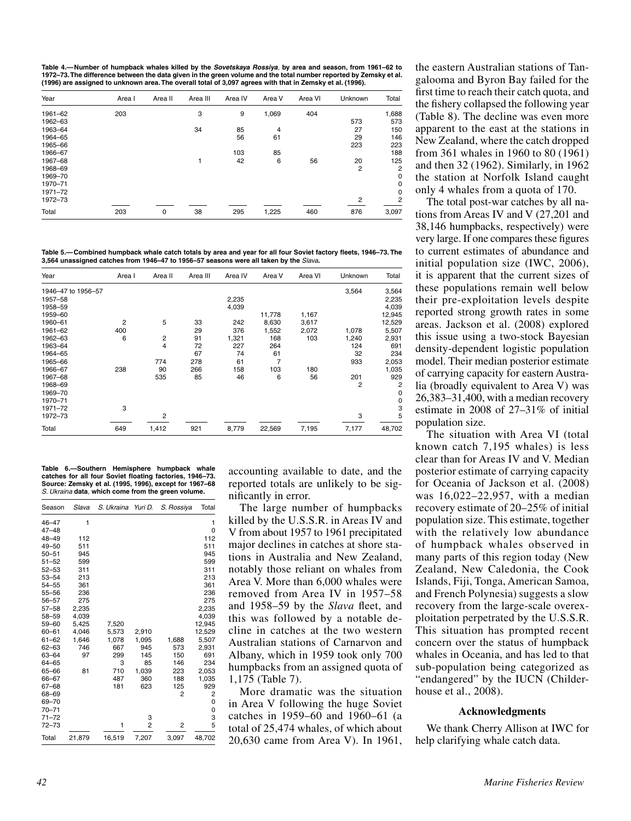**Table 4.— Number of humpback whales killed by the Sovetskaya Rossiya**, **by area and season, from 1961–62 to**  1972–73. The difference between the data given in the green volume and the total number reported by Zemsky et al.<br>(1996) are assigned to unknown area. The overall total of 3,097 agrees with that in Zemsky et al. (1996).

| Year    | Area I | Area II | Area III | Area IV | Area V | Area VI | Unknown        | Total          |
|---------|--------|---------|----------|---------|--------|---------|----------------|----------------|
| 1961-62 | 203    |         | 3        | 9       | 1,069  | 404     |                | 1,688          |
| 1962-63 |        |         |          |         |        |         | 573            | 573            |
| 1963-64 |        |         | 34       | 85      | 4      |         | 27             | 150            |
| 1964-65 |        |         |          | 56      | 61     |         | 29             | 146            |
| 1965-66 |        |         |          |         |        |         | 223            | 223            |
| 1966-67 |        |         |          | 103     | 85     |         |                | 188            |
| 1967-68 |        |         |          | 42      | 6      | 56      | 20             | 125            |
| 1968-69 |        |         |          |         |        |         | $\overline{2}$ | $\overline{2}$ |
| 1969-70 |        |         |          |         |        |         |                | 0              |
| 1970-71 |        |         |          |         |        |         |                | 0              |
| 1971-72 |        |         |          |         |        |         |                | $\mathbf 0$    |
| 1972-73 |        |         |          |         |        |         | 2              | $\overline{2}$ |
| Total   | 203    | 0       | 38       | 295     | 1,225  | 460     | 876            | 3,097          |

**Table 5.— Combined humpback whale catch totals by area and year for all four Soviet factory fleets, 1946–73. The 3,564 unassigned catches from 1946–47 to 1956–57 seasons were all taken by the** Slava**.**

| Year               | Area I | Area II        | Area III | Area IV | Area V | Area VI | Unknown | Total          |
|--------------------|--------|----------------|----------|---------|--------|---------|---------|----------------|
| 1946-47 to 1956-57 |        |                |          |         |        |         | 3,564   | 3,564          |
| 1957-58            |        |                |          | 2,235   |        |         |         | 2,235          |
| 1958-59            |        |                |          | 4,039   |        |         |         | 4,039          |
| 1959-60            |        |                |          |         | 11,778 | 1,167   |         | 12,945         |
| 1960-61            | 2      | 5              | 33       | 242     | 8,630  | 3,617   |         | 12,529         |
| 1961-62            | 400    |                | 29       | 376     | 1,552  | 2,072   | 1,078   | 5,507          |
| 1962-63            | 6      | $\overline{c}$ | 91       | 1,321   | 168    | 103     | 1,240   | 2,931          |
| 1963-64            |        | 4              | 72       | 227     | 264    |         | 124     | 691            |
| 1964-65            |        |                | 67       | 74      | 61     |         | 32      | 234            |
| 1965-66            |        | 774            | 278      | 61      | 7      |         | 933     | 2,053          |
| 1966-67            | 238    | 90             | 266      | 158     | 103    | 180     |         | 1,035          |
| 1967-68            |        | 535            | 85       | 46      | 6      | 56      | 201     | 929            |
| 1968-69            |        |                |          |         |        |         | 2       | $\overline{2}$ |
| 1969-70            |        |                |          |         |        |         |         | 0              |
| 1970-71            |        |                |          |         |        |         |         | 0              |
| 1971-72            | 3      |                |          |         |        |         |         | 3              |
| 1972-73            |        | 2              |          |         |        |         | 3       | 5              |
| Total              | 649    | 1,412          | 921      | 8,779   | 22,569 | 7,195   | 7,177   | 48,702         |

**Table 6.—Southern Hemisphere humpback whale catches for all four Soviet floating factories, 1946–73. Source: Zemsky et al. (1995, 1996), except for 1967–68**  S. Ukraina **data**, **which come from the green volume.**

| Season    | Slava  | S. Ukraina | Yuri D. | S. Rossiya     | Total    |
|-----------|--------|------------|---------|----------------|----------|
| $46 - 47$ | 1      |            |         |                | 1        |
| $47 - 48$ |        |            |         |                | $\Omega$ |
| $48 - 49$ | 112    |            |         |                | 112      |
| $49 - 50$ | 511    |            |         |                | 511      |
| $50 - 51$ | 945    |            |         |                | 945      |
| $51 - 52$ | 599    |            |         |                | 599      |
| $52 - 53$ | 311    |            |         |                | 311      |
| $53 - 54$ | 213    |            |         |                | 213      |
| $54 - 55$ | 361    |            |         |                | 361      |
| $55 - 56$ | 236    |            |         |                | 236      |
| $56 - 57$ | 275    |            |         |                | 275      |
| $57 - 58$ | 2.235  |            |         |                | 2,235    |
| $58 - 59$ | 4,039  |            |         |                | 4,039    |
| $59 - 60$ | 5.425  | 7,520      |         |                | 12.945   |
| $60 - 61$ | 4,046  | 5,573      | 2,910   |                | 12,529   |
| $61 - 62$ | 1,646  | 1,078      | 1,095   | 1,688          | 5,507    |
| $62 - 63$ | 746    | 667        | 945     | 573            | 2,931    |
| 63-64     | 97     | 299        | 145     | 150            | 691      |
| 64-65     |        | 3          | 85      | 146            | 234      |
| 65-66     | 81     | 710        | 1.039   | 223            | 2,053    |
| 66-67     |        | 487        | 360     | 188            | 1,035    |
| $67 - 68$ |        | 181        | 623     | 125            | 929      |
| 68-69     |        |            |         | 2              | 2        |
| 69-70     |        |            |         |                | 0        |
| $70 - 71$ |        |            |         |                | 0        |
| $71 - 72$ |        |            | 3       |                | 3        |
| $72 - 73$ |        | 1          | 2       | $\overline{2}$ | 5        |
| Total     | 21,879 | 16,519     | 7,207   | 3,097          | 48,702   |

accounting available to date, and the reported totals are unlikely to be significantly in error.

The large number of humpbacks killed by the U.S.S.R. in Areas IV and V from about 1957 to 1961 precipitated major declines in catches at shore stations in Australia and New Zealand, notably those reliant on whales from Area V. More than 6,000 whales were removed from Area IV in 1957–58 and 1958–59 by the *Slava* fleet, and this was followed by a notable decline in catches at the two western Australian stations of Carnarvon and Albany, which in 1959 took only 700 humpbacks from an assigned quota of 1,175 (Table 7).

More dramatic was the situation in Area V following the huge Soviet catches in 1959–60 and 1960–61 (a total of 25,474 whales, of which about 20,630 came from Area V). In 1961,

the eastern Australian stations of Tangalooma and Byron Bay failed for the first time to reach their catch quota, and the fishery collapsed the following year (Table 8). The decline was even more apparent to the east at the stations in New Zealand, where the catch dropped from 361 whales in 1960 to 80 (1961) and then 32 (1962). Similarly, in 1962 the station at Norfolk Island caught only 4 whales from a quota of 170.

The total post-war catches by all nations from Areas IV and V (27,201 and 38,146 humpbacks, respectively) were very large. If one compares these figures to current estimates of abundance and initial population size (IWC, 2006), it is apparent that the current sizes of these populations remain well below their pre-exploitation levels despite reported strong growth rates in some areas. Jackson et al. (2008) explored this issue using a two-stock Bayesian density-dependent logistic population model. Their median posterior estimate of carrying capacity for eastern Australia (broadly equivalent to Area V) was 26,383–31,400, with a median recovery estimate in 2008 of 27–31% of initial population size.

The situation with Area VI (total known catch 7,195 whales) is less clear than for Areas IV and V. Median posterior estimate of carrying capacity for Oceania of Jackson et al. (2008) was 16,022–22,957, with a median recovery estimate of 20–25% of initial population size. This estimate, together with the relatively low abundance of humpback whales observed in many parts of this region today (New Zealand, New Caledonia, the Cook Islands, Fiji, Tonga, American Samoa, and French Polynesia) suggests a slow recovery from the large-scale overexploitation perpetrated by the U.S.S.R. This situation has prompted recent concern over the status of humpback whales in Oceania, and has led to that sub-population being categorized as "endangered" by the IUCN (Childerhouse et al., 2008).

#### **Acknowledgments**

We thank Cherry Allison at IWC for help clarifying whale catch data.